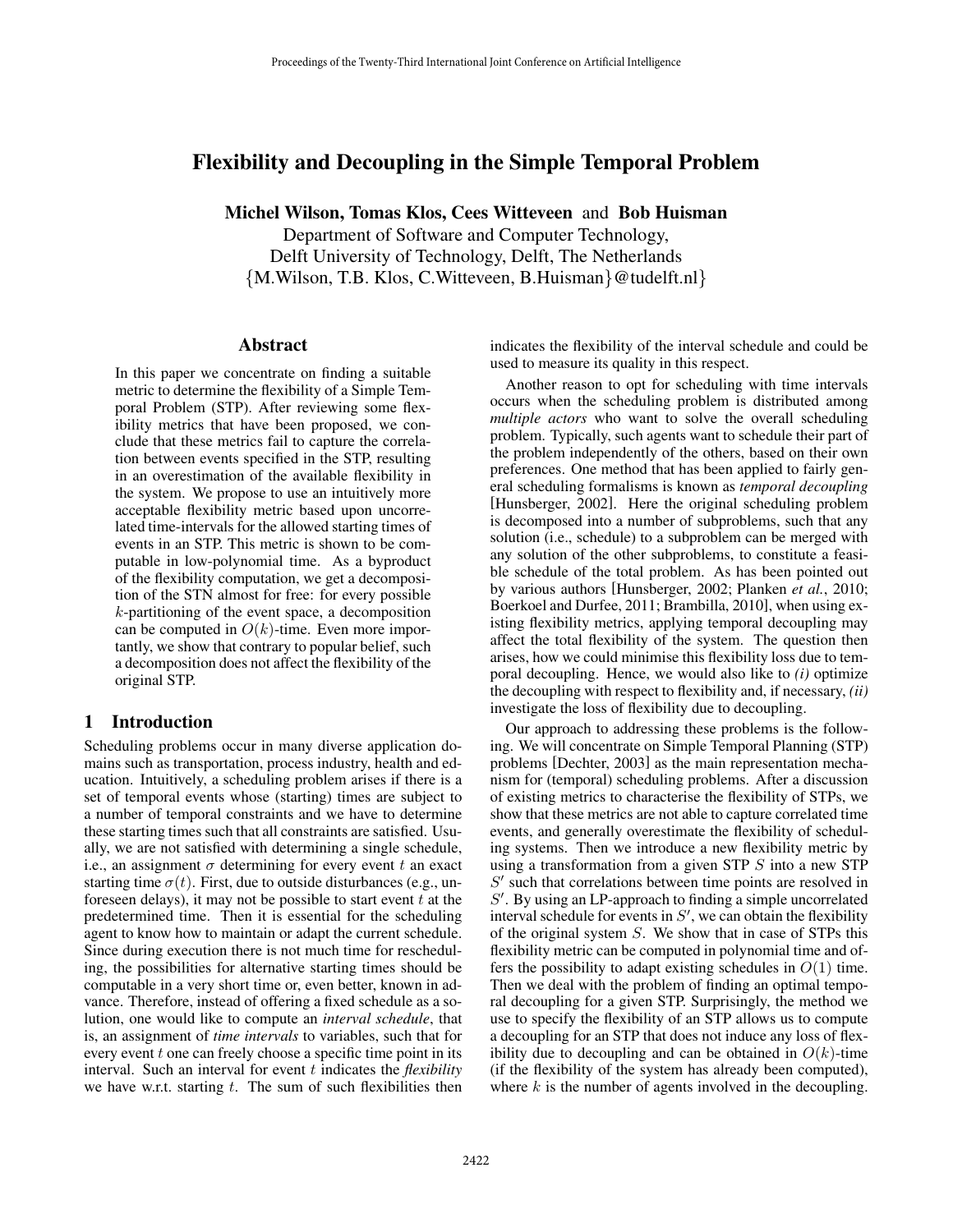# Flexibility and Decoupling in the Simple Temporal Problem

Michel Wilson, Tomas Klos, Cees Witteveen and Bob Huisman

Department of Software and Computer Technology, Delft University of Technology, Delft, The Netherlands {M.Wilson, T.B. Klos, C.Witteveen, B.Huisman}@tudelft.nl}

#### Abstract

In this paper we concentrate on finding a suitable metric to determine the flexibility of a Simple Temporal Problem (STP). After reviewing some flexibility metrics that have been proposed, we conclude that these metrics fail to capture the correlation between events specified in the STP, resulting in an overestimation of the available flexibility in the system. We propose to use an intuitively more acceptable flexibility metric based upon uncorrelated time-intervals for the allowed starting times of events in an STP. This metric is shown to be computable in low-polynomial time. As a byproduct of the flexibility computation, we get a decomposition of the STN almost for free: for every possible  $k$ -partitioning of the event space, a decomposition can be computed in  $O(k)$ -time. Even more importantly, we show that contrary to popular belief, such a decomposition does not affect the flexibility of the original STP.

### 1 Introduction

Scheduling problems occur in many diverse application domains such as transportation, process industry, health and education. Intuitively, a scheduling problem arises if there is a set of temporal events whose (starting) times are subject to a number of temporal constraints and we have to determine these starting times such that all constraints are satisfied. Usually, we are not satisfied with determining a single schedule, i.e., an assignment  $\sigma$  determining for every event t an exact starting time  $\sigma(t)$ . First, due to outside disturbances (e.g., unforeseen delays), it may not be possible to start event  $t$  at the predetermined time. Then it is essential for the scheduling agent to know how to maintain or adapt the current schedule. Since during execution there is not much time for rescheduling, the possibilities for alternative starting times should be computable in a very short time or, even better, known in advance. Therefore, instead of offering a fixed schedule as a solution, one would like to compute an *interval schedule*, that is, an assignment of *time intervals* to variables, such that for every event  $t$  one can freely choose a specific time point in its interval. Such an interval for event t indicates the *flexibility* we have w.r.t. starting  $t$ . The sum of such flexibilities then indicates the flexibility of the interval schedule and could be used to measure its quality in this respect.

Another reason to opt for scheduling with time intervals occurs when the scheduling problem is distributed among *multiple actors* who want to solve the overall scheduling problem. Typically, such agents want to schedule their part of the problem independently of the others, based on their own preferences. One method that has been applied to fairly general scheduling formalisms is known as *temporal decoupling* [Hunsberger, 2002]. Here the original scheduling problem is decomposed into a number of subproblems, such that any solution (i.e., schedule) to a subproblem can be merged with any solution of the other subproblems, to constitute a feasible schedule of the total problem. As has been pointed out by various authors [Hunsberger, 2002; Planken *et al.*, 2010; Boerkoel and Durfee, 2011; Brambilla, 2010], when using existing flexibility metrics, applying temporal decoupling may affect the total flexibility of the system. The question then arises, how we could minimise this flexibility loss due to temporal decoupling. Hence, we would also like to *(i)* optimize the decoupling with respect to flexibility and, if necessary, *(ii)* investigate the loss of flexibility due to decoupling.

Our approach to addressing these problems is the following. We will concentrate on Simple Temporal Planning (STP) problems [Dechter, 2003] as the main representation mechanism for (temporal) scheduling problems. After a discussion of existing metrics to characterise the flexibility of STPs, we show that these metrics are not able to capture correlated time events, and generally overestimate the flexibility of scheduling systems. Then we introduce a new flexibility metric by using a transformation from a given STP S into a new STP S' such that correlations between time points are resolved in  $S'$ . By using an LP-approach to finding a simple uncorrelated interval schedule for events in  $S'$ , we can obtain the flexibility of the original system  $S$ . We show that in case of STPs this flexibility metric can be computed in polynomial time and offers the possibility to adapt existing schedules in  $O(1)$  time. Then we deal with the problem of finding an optimal temporal decoupling for a given STP. Surprisingly, the method we use to specify the flexibility of an STP allows us to compute a decoupling for an STP that does not induce any loss of flexibility due to decoupling and can be obtained in  $O(k)$ -time (if the flexibility of the system has already been computed), where  $k$  is the number of agents involved in the decoupling.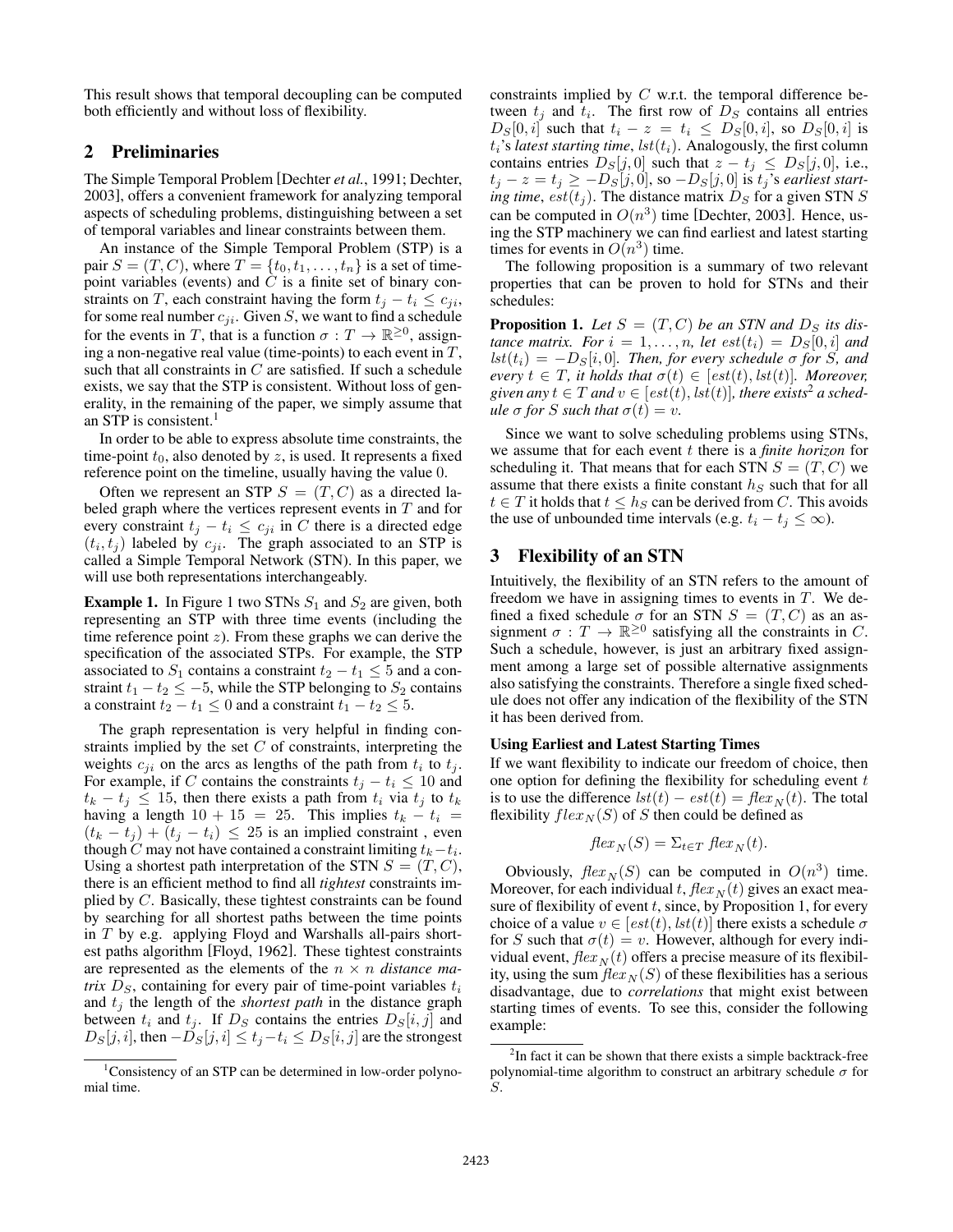This result shows that temporal decoupling can be computed both efficiently and without loss of flexibility.

## 2 Preliminaries

The Simple Temporal Problem [Dechter *et al.*, 1991; Dechter, 2003], offers a convenient framework for analyzing temporal aspects of scheduling problems, distinguishing between a set of temporal variables and linear constraints between them.

An instance of the Simple Temporal Problem (STP) is a pair  $S = (T, C)$ , where  $T = \{t_0, t_1, \ldots, t_n\}$  is a set of timepoint variables (events) and  $C$  is a finite set of binary constraints on T, each constraint having the form  $t_j - t_i \leq c_{ji}$ , for some real number  $c_{ji}$ . Given S, we want to find a schedule for the events in T, that is a function  $\sigma : T \to \mathbb{R}^{\geq 0}$ , assigning a non-negative real value (time-points) to each event in  $T$ , such that all constraints in  $C$  are satisfied. If such a schedule exists, we say that the STP is consistent. Without loss of generality, in the remaining of the paper, we simply assume that an STP is consistent.<sup>1</sup>

In order to be able to express absolute time constraints, the time-point  $t_0$ , also denoted by z, is used. It represents a fixed reference point on the timeline, usually having the value 0.

Often we represent an STP  $S = (T, C)$  as a directed labeled graph where the vertices represent events in  $T$  and for every constraint  $t_j - t_i \leq c_{ji}$  in C there is a directed edge  $(t_i, t_j)$  labeled by  $c_{ji}$ . The graph associated to an STP is called a Simple Temporal Network (STN). In this paper, we will use both representations interchangeably.

**Example 1.** In Figure 1 two STNs  $S_1$  and  $S_2$  are given, both representing an STP with three time events (including the time reference point  $z$ ). From these graphs we can derive the specification of the associated STPs. For example, the STP associated to  $S_1$  contains a constraint  $t_2 - t_1 \leq 5$  and a constraint  $t_1 - t_2 \le -5$ , while the STP belonging to  $S_2$  contains a constraint  $t_2 - t_1 \leq 0$  and a constraint  $t_1 - t_2 \leq 5$ .

The graph representation is very helpful in finding constraints implied by the set  $C$  of constraints, interpreting the weights  $c_{ji}$  on the arcs as lengths of the path from  $t_i$  to  $t_j$ . For example, if C contains the constraints  $t_j - t_i \leq 10$  and  $t_k - t_j \le 15$ , then there exists a path from  $t_i$  via  $t_j$  to  $t_k$ having a length  $10 + 15 = 25$ . This implies  $t_k - t_i =$  $(t_k - t_j) + (t_j - t_i) \leq 25$  is an implied constraint, even though C may not have contained a constraint limiting  $t_k-t_i$ . Using a shortest path interpretation of the STN  $S = (T, C)$ , there is an efficient method to find all *tightest* constraints implied by C. Basically, these tightest constraints can be found by searching for all shortest paths between the time points in T by e.g. applying Floyd and Warshalls all-pairs shortest paths algorithm [Floyd, 1962]. These tightest constraints are represented as the elements of the n × n *distance matrix*  $D<sub>S</sub>$ , containing for every pair of time-point variables  $t<sub>i</sub>$ and  $t_i$  the length of the *shortest path* in the distance graph between  $t_i$  and  $t_j$ . If  $D_S$  contains the entries  $D_S[i, j]$  and  $D_S[j, i]$ , then  $-D_S[j, i] \le t_i - t_i \le D_S[i, j]$  are the strongest constraints implied by  $C$  w.r.t. the temporal difference between  $t_j$  and  $t_i$ . The first row of  $D_s$  contains all entries  $D_S[0, i]$  such that  $t_i - z = t_i \leq D_S[0, i]$ , so  $D_S[0, i]$  is  $t_i$ 's *latest starting time*,  $lst(t_i)$ . Analogously, the first column contains entries  $D_S[j, 0]$  such that  $z - t_j \leq D_S[j, 0]$ , i.e.,  $t_j - z = t_j \ge -D_S[j, 0],$  so  $-D_S[j, 0]$  is  $t_j$ 's *earliest starting time, est* $(t_i)$ . The distance matrix  $D_S$  for a given STN S can be computed in  $O(n^3)$  time [Dechter, 2003]. Hence, using the STP machinery we can find earliest and latest starting times for events in  $O(n^3)$  time.

The following proposition is a summary of two relevant properties that can be proven to hold for STNs and their schedules:

**Proposition 1.** Let  $S = (T, C)$  be an STN and  $D_S$  its dis*tance matrix. For*  $i = 1, \ldots, n$ , let  $est(t_i) = D_S[0, i]$  and  $lst(t_i) = -D_S[i, 0]$ *. Then, for every schedule*  $\sigma$  *for S, and every*  $t \in T$ *, it holds that*  $\sigma(t) \in [est(t), \text{lst}(t)]$ *. Moreover,* given any  $t \in T$  and  $v \in [est(t), \,]$ , there exists<sup>2</sup> a sched*ule*  $\sigma$  *for S such that*  $\sigma(t) = v$ .

Since we want to solve scheduling problems using STNs, we assume that for each event t there is a *finite horizon* for scheduling it. That means that for each STN  $S = (T, C)$  we assume that there exists a finite constant  $h<sub>S</sub>$  such that for all  $t \in T$  it holds that  $t \leq h<sub>S</sub>$  can be derived from C. This avoids the use of unbounded time intervals (e.g.  $t_i - t_j \leq \infty$ ).

## 3 Flexibility of an STN

Intuitively, the flexibility of an STN refers to the amount of freedom we have in assigning times to events in  $T$ . We defined a fixed schedule  $\sigma$  for an STN  $S = (T, C)$  as an assignment  $\sigma: T \to \mathbb{R}^{\geq 0}$  satisfying all the constraints in C. Such a schedule, however, is just an arbitrary fixed assignment among a large set of possible alternative assignments also satisfying the constraints. Therefore a single fixed schedule does not offer any indication of the flexibility of the STN it has been derived from.

#### Using Earliest and Latest Starting Times

If we want flexibility to indicate our freedom of choice, then one option for defining the flexibility for scheduling event  $t$ is to use the difference  $lst(t) - est(t) = flex_N(t)$ . The total flexibility  $flex_N(S)$  of S then could be defined as

$$
flex_N(S) = \sum_{t \in T} flex_N(t).
$$

Obviously,  $flex_N(S)$  can be computed in  $O(n^3)$  time. Moreover, for each individual t,  $flex_N(t)$  gives an exact measure of flexibility of event  $t$ , since, by Proposition 1, for every choice of a value  $v \in [est(t), \, \text{lst}(t)]$  there exists a schedule  $\sigma$ for S such that  $\sigma(t) = v$ . However, although for every individual event,  $flex_N(t)$  offers a precise measure of its flexibility, using the sum  $\text{flex}_{N}(S)$  of these flexibilities has a serious disadvantage, due to *correlations* that might exist between starting times of events. To see this, consider the following example:

<sup>&</sup>lt;sup>1</sup>Consistency of an STP can be determined in low-order polynomial time.

<sup>&</sup>lt;sup>2</sup>In fact it can be shown that there exists a simple backtrack-free polynomial-time algorithm to construct an arbitrary schedule  $\sigma$  for S.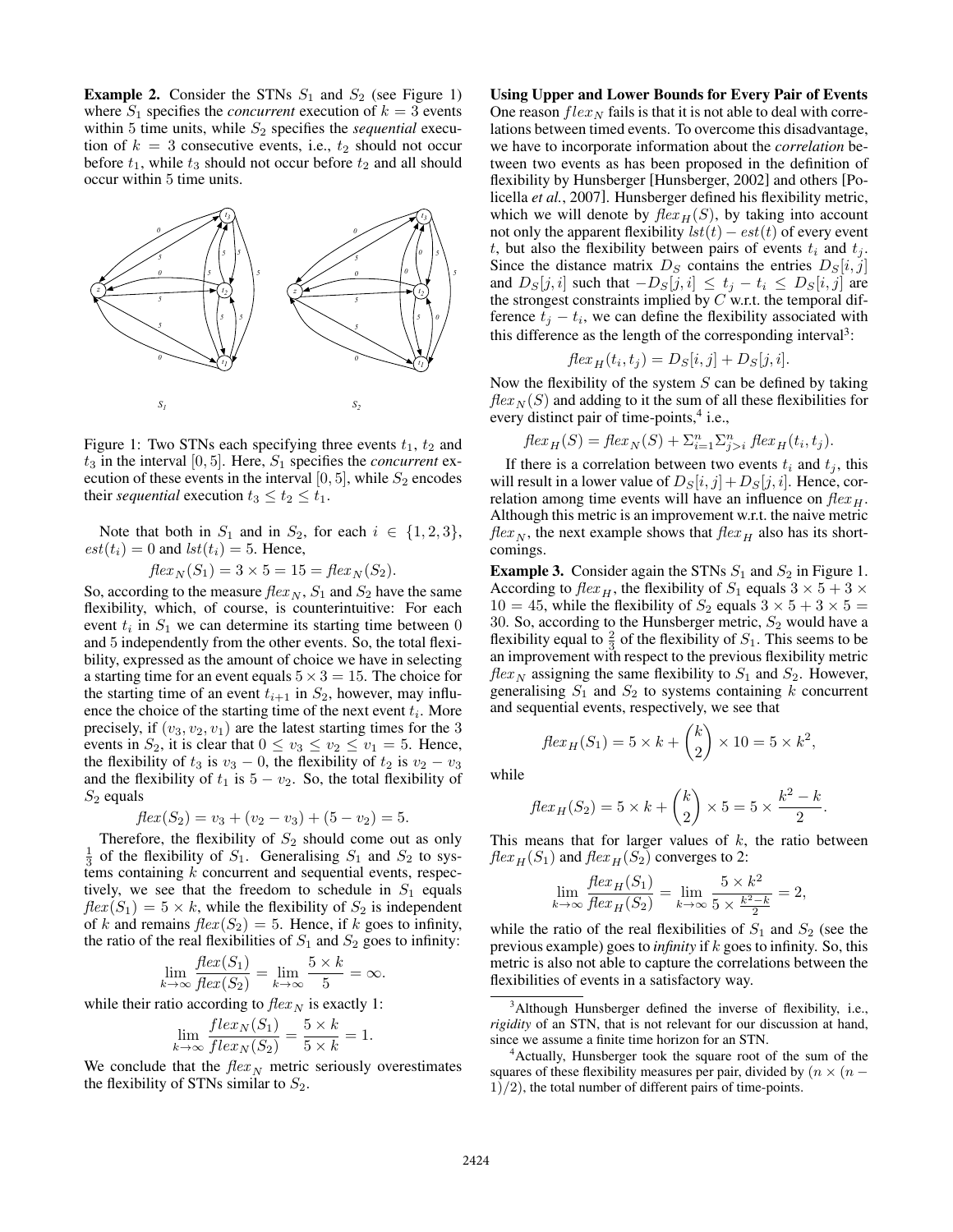**Example 2.** Consider the STNs  $S_1$  and  $S_2$  (see Figure 1) where  $S_1$  specifies the *concurrent* execution of  $k = 3$  events within 5 time units, while  $S_2$  specifies the *sequential* execution of  $k = 3$  consecutive events, i.e.,  $t_2$  should not occur before  $t_1$ , while  $t_3$  should not occur before  $t_2$  and all should occur within 5 time units.



Figure 1: Two STNs each specifying three events  $t_1$ ,  $t_2$  and  $t_3$  in the interval [0, 5]. Here,  $S_1$  specifies the *concurrent* execution of these events in the interval [0, 5], while  $S_2$  encodes their *sequential* execution  $t_3 \le t_2 \le t_1$ .

Note that both in  $S_1$  and in  $S_2$ , for each  $i \in \{1, 2, 3\}$ ,  $est(t_i) = 0$  and  $lst(t_i) = 5$ . Hence,

$$
flex_N(S_1) = 3 \times 5 = 15 = flex_N(S_2).
$$

So, according to the measure  $flex_N$ ,  $S_1$  and  $S_2$  have the same flexibility, which, of course, is counterintuitive: For each event  $t_i$  in  $S_1$  we can determine its starting time between 0 and 5 independently from the other events. So, the total flexibility, expressed as the amount of choice we have in selecting a starting time for an event equals  $5 \times 3 = 15$ . The choice for the starting time of an event  $t_{i+1}$  in  $S_2$ , however, may influence the choice of the starting time of the next event  $t_i$ . More precisely, if  $(v_3, v_2, v_1)$  are the latest starting times for the 3 events in  $S_2$ , it is clear that  $0 \le v_3 \le v_2 \le v_1 = 5$ . Hence, the flexibility of  $t_3$  is  $v_3 - 0$ , the flexibility of  $t_2$  is  $v_2 - v_3$ and the flexibility of  $t_1$  is  $5 - v_2$ . So, the total flexibility of  $S_2$  equals

$$
flex(S_2) = v_3 + (v_2 - v_3) + (5 - v_2) = 5.
$$

Therefore, the flexibility of  $S_2$  should come out as only  $\frac{1}{3}$  of the flexibility of  $S_1$ . Generalising  $S_1$  and  $S_2$  to systems containing  $k$  concurrent and sequential events, respectively, we see that the freedom to schedule in  $S_1$  equals  $flex(S_1) = 5 \times k$ , while the flexibility of  $S_2$  is independent of k and remains  $flex(S_2) = 5$ . Hence, if k goes to infinity, the ratio of the real flexibilities of  $S_1$  and  $S_2$  goes to infinity:

$$
\lim_{k \to \infty} \frac{\text{flex}(S_1)}{\text{flex}(S_2)} = \lim_{k \to \infty} \frac{5 \times k}{5} = \infty.
$$

while their ratio according to  $\text{flex}_{N}$  is exactly 1:

$$
\lim_{k \to \infty} \frac{flex_N(S_1)}{flex_N(S_2)} = \frac{5 \times k}{5 \times k} = 1.
$$

We conclude that the  $flex_N$  metric seriously overestimates the flexibility of STNs similar to  $S_2$ .

Using Upper and Lower Bounds for Every Pair of Events One reason  $flex_N$  fails is that it is not able to deal with correlations between timed events. To overcome this disadvantage, we have to incorporate information about the *correlation* between two events as has been proposed in the definition of flexibility by Hunsberger [Hunsberger, 2002] and others [Policella *et al.*, 2007]. Hunsberger defined his flexibility metric, which we will denote by  $flex<sub>H</sub>(S)$ , by taking into account not only the apparent flexibility  $lst(t) - est(t)$  of every event t, but also the flexibility between pairs of events  $t_i$  and  $t_j$ . Since the distance matrix  $D_S$  contains the entries  $D_S[i, j]$ and  $D_S[j, i]$  such that  $-D_S[j, i] \le t_j - t_i \le D_S[i, j]$  are the strongest constraints implied by  $C$  w.r.t. the temporal difference  $t_j - t_i$ , we can define the flexibility associated with this difference as the length of the corresponding interval<sup>3</sup>:

$$
flex_H(t_i, t_j) = D_S[i, j] + D_S[j, i].
$$

Now the flexibility of the system  $S$  can be defined by taking  $flex_N(S)$  and adding to it the sum of all these flexibilities for every distinct pair of time-points,<sup>4</sup> i.e.,

$$
flex_H(S) = flex_N(S) + \sum_{i=1}^n \sum_{j>i}^n flex_H(t_i, t_j).
$$

If there is a correlation between two events  $t_i$  and  $t_j$ , this will result in a lower value of  $D_S[i, j]+D_S[j, i]$ . Hence, correlation among time events will have an influence on  $flex_H$ . Although this metric is an improvement w.r.t. the naive metric  $flex<sub>N</sub>$ , the next example shows that  $flex<sub>H</sub>$  also has its shortcomings.

**Example 3.** Consider again the STNs  $S_1$  and  $S_2$  in Figure 1. According to  $flex_H$ , the flexibility of  $S_1$  equals  $3 \times 5 + 3 \times$  $10 = 45$ , while the flexibility of  $S_2$  equals  $3 \times 5 + 3 \times 5 = 1$ 30. So, according to the Hunsberger metric,  $S_2$  would have a flexibility equal to  $\frac{2}{3}$  of the flexibility of  $S_1$ . This seems to be an improvement with respect to the previous flexibility metric  $flex_N$  assigning the same flexibility to  $S_1$  and  $S_2$ . However, generalising  $S_1$  and  $S_2$  to systems containing k concurrent and sequential events, respectively, we see that

while

$$
flex_H(S_2) = 5 \times k + {k \choose 2} \times 5 = 5 \times \frac{k^2 - k}{2}.
$$

2

 $\bigg) \times 10 = 5 \times k^2,$ 

 $flex_H(S_1) = 5 \times k + \binom{k}{2}$ 

This means that for larger values of  $k$ , the ratio between  $flex_{H}(S_1)$  and  $flex_{H}(S_2)$  converges to 2:

$$
\lim_{k \to \infty} \frac{\text{flex}_{H}(S_1)}{\text{Hex}_{H}(S_2)} = \lim_{k \to \infty} \frac{5 \times k^2}{5 \times \frac{k^2 - k}{2}} = 2,
$$

while the ratio of the real flexibilities of  $S_1$  and  $S_2$  (see the previous example) goes to *infinity* if k goes to infinity. So, this metric is also not able to capture the correlations between the flexibilities of events in a satisfactory way.

<sup>&</sup>lt;sup>3</sup>Although Hunsberger defined the inverse of flexibility, i.e., *rigidity* of an STN, that is not relevant for our discussion at hand, since we assume a finite time horizon for an STN.

<sup>4</sup>Actually, Hunsberger took the square root of the sum of the squares of these flexibility measures per pair, divided by  $(n \times (n 1/2$ , the total number of different pairs of time-points.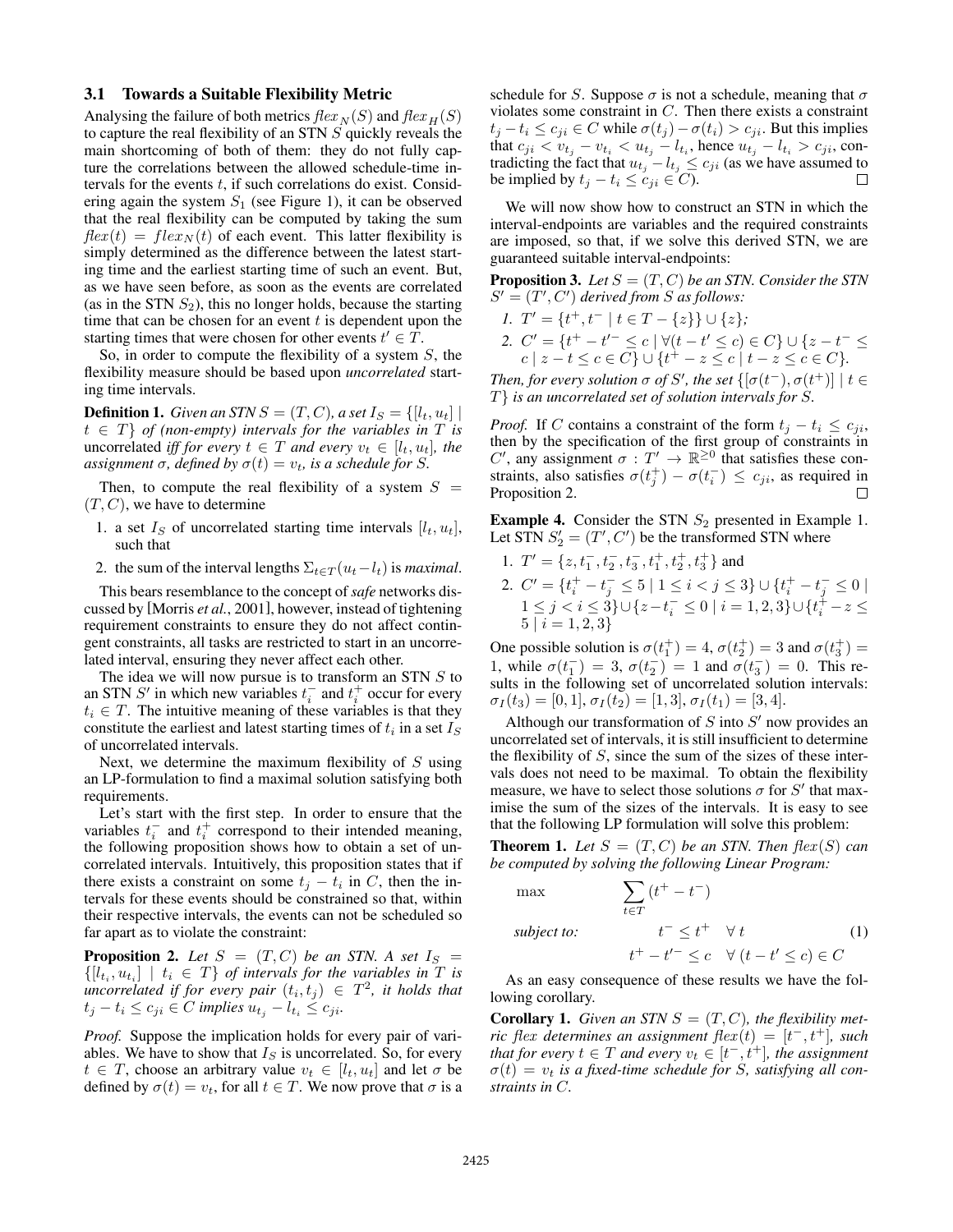#### 3.1 Towards a Suitable Flexibility Metric

Analysing the failure of both metrics  $flex_N(S)$  and  $flex_H(S)$ to capture the real flexibility of an STN S quickly reveals the main shortcoming of both of them: they do not fully capture the correlations between the allowed schedule-time intervals for the events  $t$ , if such correlations do exist. Considering again the system  $S_1$  (see Figure 1), it can be observed that the real flexibility can be computed by taking the sum  $flex(t) = flex_N(t)$  of each event. This latter flexibility is simply determined as the difference between the latest starting time and the earliest starting time of such an event. But, as we have seen before, as soon as the events are correlated (as in the STN  $S_2$ ), this no longer holds, because the starting time that can be chosen for an event  $t$  is dependent upon the starting times that were chosen for other events  $t' \in \hat{T}$ .

So, in order to compute the flexibility of a system S, the flexibility measure should be based upon *uncorrelated* starting time intervals.

**Definition 1.** *Given an STN*  $S = (T, C)$ *, a set*  $I_S = \{[l_t, u_t] |$  $t \in T$  *of (non-empty) intervals for the variables in* T *is* uncorrelated *iff for every*  $t \in T$  *and every*  $v_t \in [l_t, u_t]$ *, the assignment*  $\sigma$ *, defined by*  $\sigma(t) = v_t$ *, is a schedule for S.* 

Then, to compute the real flexibility of a system  $S =$  $(T, C)$ , we have to determine

- 1. a set  $I_S$  of uncorrelated starting time intervals  $[l_t, u_t]$ , such that
- 2. the sum of the interval lengths  $\Sigma_{t \in \mathcal{T}}(u_t l_t)$  is *maximal*.

This bears resemblance to the concept of *safe* networks discussed by [Morris *et al.*, 2001], however, instead of tightening requirement constraints to ensure they do not affect contingent constraints, all tasks are restricted to start in an uncorrelated interval, ensuring they never affect each other.

The idea we will now pursue is to transform an STN S to an STN  $S'$  in which new variables  $t_i^-$  and  $t_i^+$  occur for every  $t_i \in T$ . The intuitive meaning of these variables is that they constitute the earliest and latest starting times of  $t_i$  in a set  $I_S$ of uncorrelated intervals.

Next, we determine the maximum flexibility of  $S$  using an LP-formulation to find a maximal solution satisfying both requirements.

Let's start with the first step. In order to ensure that the variables  $t_i^-$  and  $t_i^+$  correspond to their intended meaning, the following proposition shows how to obtain a set of uncorrelated intervals. Intuitively, this proposition states that if there exists a constraint on some  $t_j - t_i$  in C, then the intervals for these events should be constrained so that, within their respective intervals, the events can not be scheduled so far apart as to violate the constraint:

**Proposition 2.** Let  $S = (T, C)$  be an STN. A set  $I_S =$  $\{[l_{t_i}, u_{t_i}] \mid t_i \in T\}$  *of intervals for the variables in* T *is*  $\mu$ *uncorrelated if for every pair*  $(t_i, t_j) \in T^2$ , it holds that  $t_j - t_i \leq c_{ji} \in C$  *implies*  $u_{t_j} - l_{t_i} \leq c_{ji}$ .

*Proof.* Suppose the implication holds for every pair of variables. We have to show that  $I<sub>S</sub>$  is uncorrelated. So, for every  $t \in T$ , choose an arbitrary value  $v_t \in [l_t, u_t]$  and let  $\sigma$  be defined by  $\sigma(t) = v_t$ , for all  $t \in T$ . We now prove that  $\sigma$  is a schedule for S. Suppose  $\sigma$  is not a schedule, meaning that  $\sigma$ violates some constraint in  $C$ . Then there exists a constraint  $t_i - t_i \le c_{ji} \in C$  while  $\sigma(t_i) - \sigma(t_i) > c_{ji}$ . But this implies that  $c_{ji} < v_{t_j} - v_{t_i} < u_{t_j} - l_{t_i}$ , hence  $u_{t_j} - l_{t_i} > c_{ji}$ , contradicting the fact that  $u_{t_j} - l_{t_j} \le c_{ji}$  (as we have assumed to be implied by  $t_j - t_i \leq c_{ji} \in C$ ).

We will now show how to construct an STN in which the interval-endpoints are variables and the required constraints are imposed, so that, if we solve this derived STN, we are guaranteed suitable interval-endpoints:

**Proposition 3.** Let  $S = (T, C)$  be an STN. Consider the STN  $S' = (T', C')$  derived from S as follows:

- *1.*  $T' = \{t^+, t^- \mid t \in T \{z\}\} \cup \{z\};$
- 2.  $C' = \{t^+ t'^- \leq c \mid \forall (t t' \leq c) \in C\} \cup \{z t^- \leq$  $c \mid z - t \leq c \in C$ }  $\cup \{t^+ - z \leq c \mid t - z \leq c \in C\}.$

*Then, for every solution*  $\sigma$  *of S', the set*  $\{[\sigma(t^-), \sigma(t^+)] \mid t \in$ T} *is an uncorrelated set of solution intervals for* S*.*

*Proof.* If C contains a constraint of the form  $t_i - t_i \leq c_{ii}$ , then by the specification of the first group of constraints in C', any assignment  $\sigma : T' \to \mathbb{R}^{\geq 0}$  that satisfies these constraints, also satisfies  $\sigma(t_j^+) - \sigma(t_i^-) \leq c_{ji}$ , as required in Proposition 2.  $\Box$ 

**Example 4.** Consider the STN  $S_2$  presented in Example 1. Let STN  $S_2' = (T', C')$  be the transformed STN where

1.  $T' = \{z, t_1^-, t_2^-, t_3^-, t_1^+, t_2^+, t_3^+\}$  and 2.  $C' = \{t_i^+ - t_j^- \leq 5 \mid 1 \leq i < j \leq 3\} \cup \{t_i^+ - t_j^- \leq 0 \mid$  $1 \leq j < i \leq 3$ } $\cup \{z - t_i^- \leq 0 \mid i = 1, 2, 3\} \cup \{t_i^+ - z \leq 1\}$  $5 | i = 1, 2, 3\}$ 

One possible solution is  $\sigma(t_1^+) = 4$ ,  $\sigma(t_2^+) = 3$  and  $\sigma(t_3^+) =$ 1, while  $\sigma(t_1^-) = 3$ ,  $\sigma(t_2^-) = 1$  and  $\sigma(t_3^-) = 0$ . This results in the following set of uncorrelated solution intervals:  $\sigma_I(t_3) = [0, 1], \sigma_I(t_2) = [1, 3], \sigma_I(t_1) = [3, 4].$ 

Although our transformation of  $S$  into  $S'$  now provides an uncorrelated set of intervals, it is still insufficient to determine the flexibility of  $S$ , since the sum of the sizes of these intervals does not need to be maximal. To obtain the flexibility measure, we have to select those solutions  $\sigma$  for S' that maximise the sum of the sizes of the intervals. It is easy to see that the following LP formulation will solve this problem:

**Theorem 1.** Let  $S = (T, C)$  be an STN. Then  $flex(S)$  can *be computed by solving the following Linear Program:*

$$
\begin{aligned}\n\max \qquad & \qquad \sum_{t \in T} (t^+ - t^-) \\
\text{subject to:} \qquad & t^- \le t^+ \quad \forall \ t \\
& t^+ - t'^- \le c \quad \forall \ (t - t' \le c) \in C\n\end{aligned} \tag{1}
$$

As an easy consequence of these results we have the following corollary.

**Corollary 1.** *Given an STN*  $S = (T, C)$ *, the flexibility metric* flex *determines an assignment* flex (t) = [t <sup>−</sup>, t<sup>+</sup>]*, such that for every*  $t \in T$  *and every*  $v_t \in [t^-, t^+]$ *, the assignment*  $\sigma(t) = v_t$  *is a fixed-time schedule for S, satisfying all constraints in* C*.*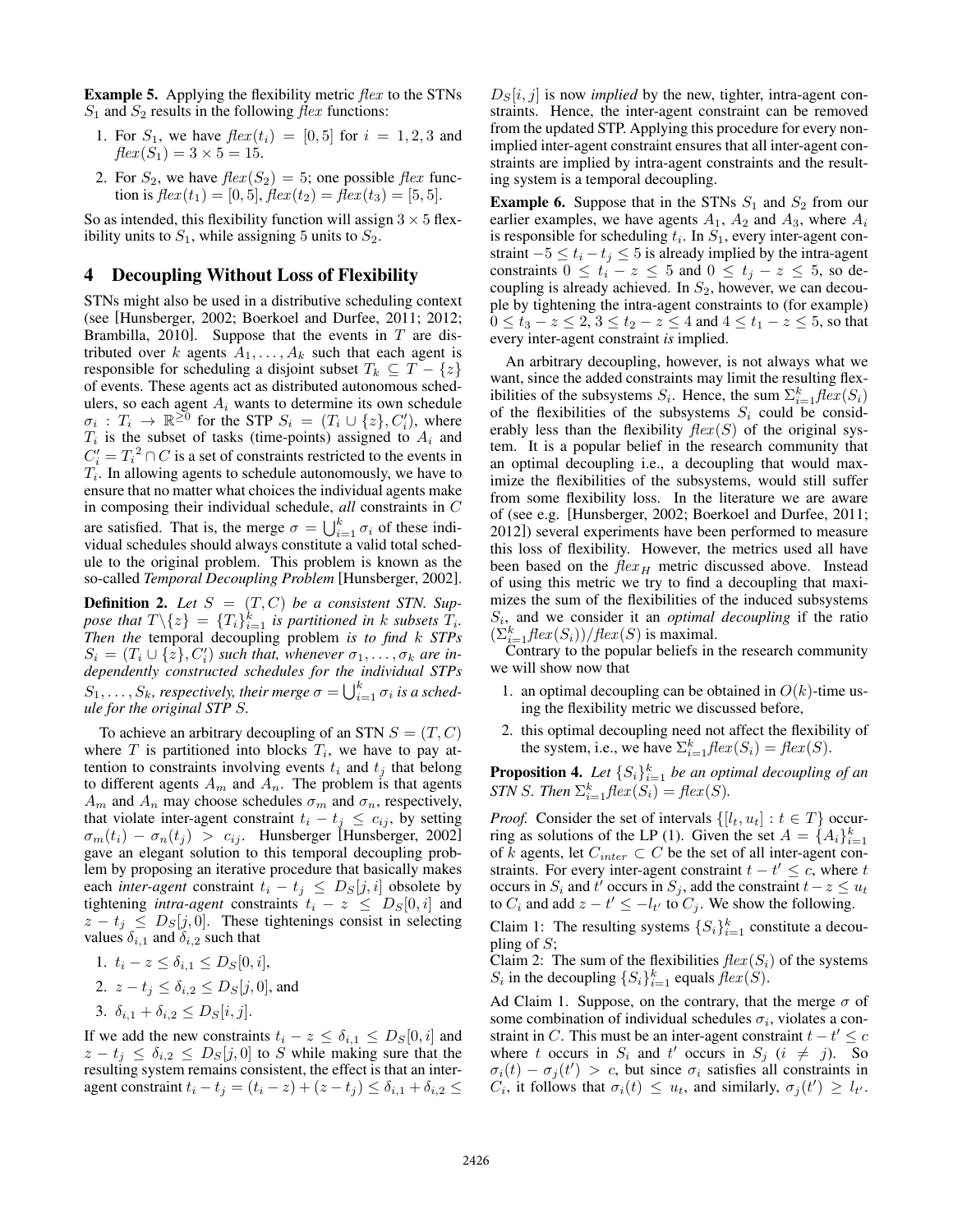**Example 5.** Applying the flexibility metric  $flex$  to the STNs  $S_1$  and  $S_2$  results in the following  $flex$  functions:

- 1. For  $S_1$ , we have  $flex(t_i) = [0, 5]$  for  $i = 1, 2, 3$  and  $flex(S_1) = 3 \times 5 = 15.$
- 2. For  $S_2$ , we have  $flex(S_2) = 5$ ; one possible  $flex$  function is  $flex(t_1) = [0, 5],$   $flex(t_2) = flex(t_3) = [5, 5].$

So as intended, this flexibility function will assign  $3 \times 5$  flexibility units to  $S_1$ , while assigning 5 units to  $S_2$ .

#### 4 Decoupling Without Loss of Flexibility

STNs might also be used in a distributive scheduling context (see [Hunsberger, 2002; Boerkoel and Durfee, 2011; 2012; Brambilla, 2010]. Suppose that the events in  $T$  are distributed over k agents  $A_1, \ldots, A_k$  such that each agent is responsible for scheduling a disjoint subset  $T_k \subseteq T - \{z\}$ of events. These agents act as distributed autonomous schedulers, so each agent  $A_i$  wants to determine its own schedule  $\sigma_i$ :  $T_i \to \mathbb{R}^{\geq 0}$  for the STP  $S_i = (T_i \cup \{z\}, C'_i)$ , where  $T_i$  is the subset of tasks (time-points) assigned to  $A_i$  and  $C_i' = T_i^2 \cap C$  is a set of constraints restricted to the events in  $T_i$ . In allowing agents to schedule autonomously, we have to ensure that no matter what choices the individual agents make in composing their individual schedule, *all* constraints in C are satisfied. That is, the merge  $\sigma = \bigcup_{i=1}^{k} \sigma_i$  of these individual schedules should always constitute a valid total schedule to the original problem. This problem is known as the so-called *Temporal Decoupling Problem* [Hunsberger, 2002].

**Definition 2.** Let  $S = (T, C)$  be a consistent STN. Suppose that  $T \setminus \{z\} = \{T_i\}_{i=1}^k$  is partitioned in k subsets  $T_i$ . *Then the* temporal decoupling problem *is to find* k *STPs*  $S_i = (T_i \cup \{\overline{z}\}, C'_i)$  such that, whenever  $\sigma_1, \ldots, \sigma_k$  are in*dependently constructed schedules for the individual STPs*  $S_1, \ldots, S_k$ , respectively, their merge  $\sigma = \bigcup_{i=1}^k \sigma_i$  is a sched*ule for the original STP* S*.*

To achieve an arbitrary decoupling of an STN  $S = (T, C)$ where  $T$  is partitioned into blocks  $T_i$ , we have to pay attention to constraints involving events  $t_i$  and  $t_j$  that belong to different agents  $A_m$  and  $A_n$ . The problem is that agents  $A_m$  and  $A_n$  may choose schedules  $\sigma_m$  and  $\sigma_n$ , respectively, that violate inter-agent constraint  $t_i - t_j \leq c_{ij}$ , by setting  $\sigma_m(t_i) - \sigma_n(t_j) > c_{ij}$ . Hunsberger [Hunsberger, 2002] gave an elegant solution to this temporal decoupling problem by proposing an iterative procedure that basically makes each *inter-agent* constraint  $t_i - t_j \leq D_S[j, i]$  obsolete by tightening *intra-agent* constraints  $t_i - z \leq D_S[0, i]$  and  $z - t_j \leq D_s[j, 0]$ . These tightenings consist in selecting values  $\delta_{i,1}$  and  $\delta_{i,2}$  such that

1. 
$$
t_i - z \leq \delta_{i,1} \leq D_S[0, i],
$$

2. 
$$
z - t_j \le \delta_{i,2} \le D_S[j, 0]
$$
, and

$$
3. \ \delta_{i,1} + \delta_{i,2} \le D_S[i,j].
$$

If we add the new constraints  $t_i - z \leq \delta_{i,1} \leq D_S[0, i]$  and  $z - t_j \leq \delta_{i,2} \leq D_S[j,0]$  to S while making sure that the resulting system remains consistent, the effect is that an interagent constraint  $t_i - t_j = (t_i - z) + (z - t_j) \leq \delta_{i,1} + \delta_{i,2} \leq$   $D<sub>S</sub>[i, j]$  is now *implied* by the new, tighter, intra-agent constraints. Hence, the inter-agent constraint can be removed from the updated STP. Applying this procedure for every nonimplied inter-agent constraint ensures that all inter-agent constraints are implied by intra-agent constraints and the resulting system is a temporal decoupling.

**Example 6.** Suppose that in the STNs  $S_1$  and  $S_2$  from our earlier examples, we have agents  $A_1$ ,  $A_2$  and  $A_3$ , where  $A_i$ is responsible for scheduling  $t_i$ . In  $S_1$ , every inter-agent constraint  $-5 \le t_i - t_j \le 5$  is already implied by the intra-agent constraints  $0 \le t_i - z \le 5$  and  $0 \le t_j - z \le 5$ , so decoupling is already achieved. In  $S_2$ , however, we can decouple by tightening the intra-agent constraints to (for example)  $0 \le t_3 - z \le 2, 3 \le t_2 - z \le 4$  and  $4 \le t_1 - z \le 5$ , so that every inter-agent constraint *is* implied.

An arbitrary decoupling, however, is not always what we want, since the added constraints may limit the resulting flexibilities of the subsystems  $S_i$ . Hence, the sum  $\sum_{i=1}^{k} \text{flex}(S_i)$ of the flexibilities of the subsystems  $S_i$  could be considerably less than the flexibility  $flex(S)$  of the original system. It is a popular belief in the research community that an optimal decoupling i.e., a decoupling that would maximize the flexibilities of the subsystems, would still suffer from some flexibility loss. In the literature we are aware of (see e.g. [Hunsberger, 2002; Boerkoel and Durfee, 2011; 2012]) several experiments have been performed to measure this loss of flexibility. However, the metrics used all have been based on the  $flex_H$  metric discussed above. Instead of using this metric we try to find a decoupling that maximizes the sum of the flexibilities of the induced subsystems  $S_i$ , and we consider it an *optimal decoupling* if the ratio  $(\sum_{i=1}^{k} \text{flex}(S_i))/\text{flex}(S)$  is maximal.

Contrary to the popular beliefs in the research community we will show now that

- 1. an optimal decoupling can be obtained in  $O(k)$ -time using the flexibility metric we discussed before,
- 2. this optimal decoupling need not affect the flexibility of the system, i.e., we have  $\sum_{i=1}^{k} \text{flex}(S_i) = \text{flex}(S)$ .

**Proposition 4.** Let  $\{S_i\}_{i=1}^k$  be an optimal decoupling of an *STN S. Then*  $\Sigma_{i=1}^k$  *flex*  $(S_i) =$  *flex*  $(S)$ *.* 

*Proof.* Consider the set of intervals  $\{[l_t, u_t] : t \in T\}$  occurring as solutions of the LP (1). Given the set  $A = \{A_i\}_{i=1}^k$ of k agents, let  $C_{inter} \subset C$  be the set of all inter-agent constraints. For every inter-agent constraint  $t - t' \leq c$ , where t occurs in  $S_i$  and  $t'$  occurs in  $S_j$ , add the constraint  $t-z \leq u_t$ to  $C_i$  and add  $z - t' \le -l_{t'}$  to  $C_j$ . We show the following.

Claim 1: The resulting systems  $\{S_i\}_{i=1}^k$  constitute a decoupling of  $S$ ;

Claim 2: The sum of the flexibilities  $flex(S_i)$  of the systems  $S_i$  in the decoupling  $\{S_i\}_{i=1}^k$  equals  $\text{flex}(S)$ .

Ad Claim 1. Suppose, on the contrary, that the merge  $\sigma$  of some combination of individual schedules  $\sigma_i$ , violates a constraint in C. This must be an inter-agent constraint  $t - t' \leq c$ where t occurs in  $S_i$  and t' occurs in  $S_j$   $(i \neq j)$ . So  $\sigma_i(t) - \sigma_j(t') > c$ , but since  $\sigma_i$  satisfies all constraints in  $C_i$ , it follows that  $\sigma_i(t) \leq u_t$ , and similarly,  $\sigma_j(t') \geq l_{t'}$ .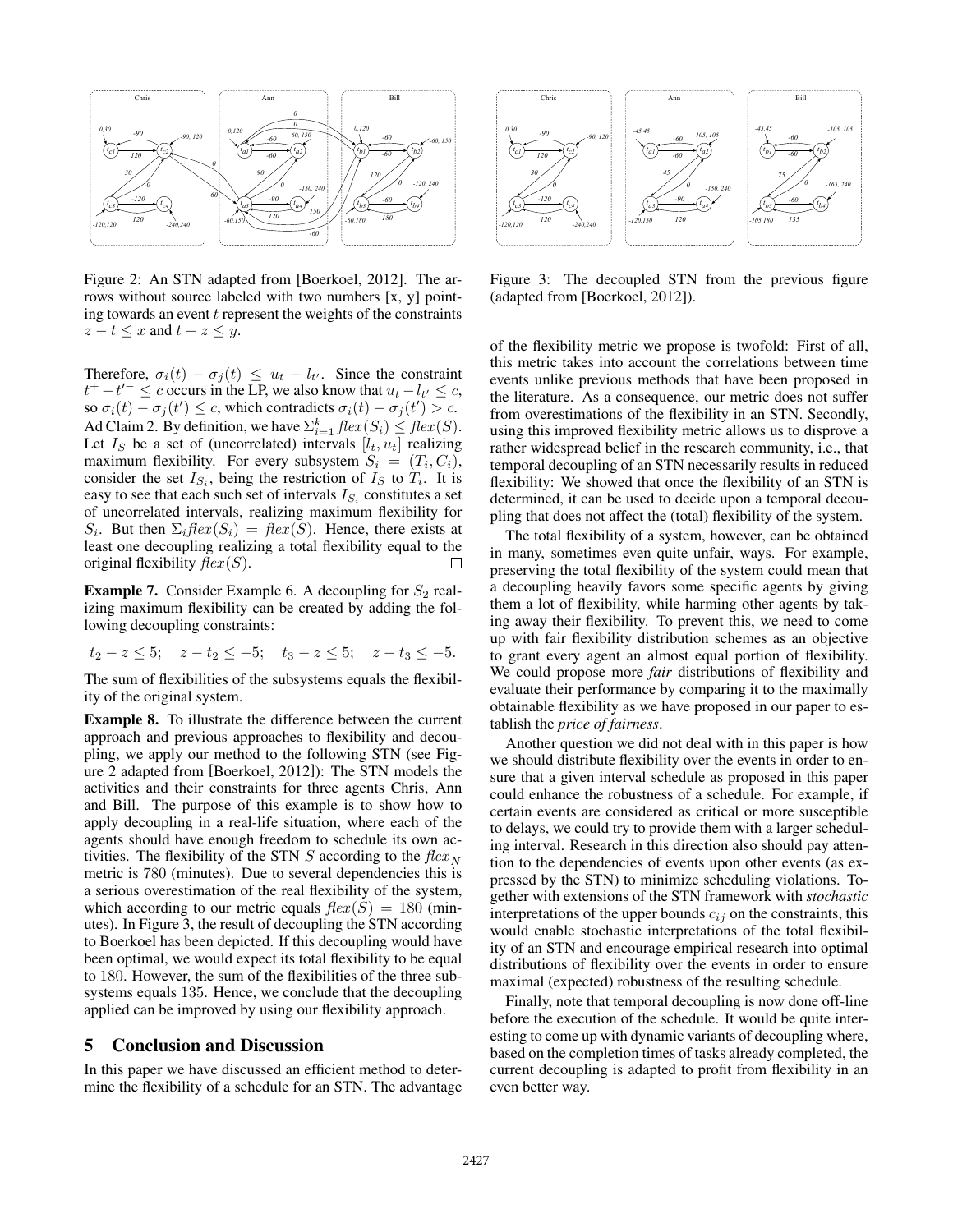

Figure 2: An STN adapted from [Boerkoel, 2012]. The arrows without source labeled with two numbers [x, y] pointing towards an event  $t$  represent the weights of the constraints  $z - t \leq x$  and  $t - z \leq y$ .

Therefore,  $\sigma_i(t) - \sigma_j(t) \leq u_t - l_{t'}$ . Since the constraint  $t^+ - t'^- \leq c$  occurs in the LP, we also know that  $u_t - l_{t'} \leq c$ , so  $\sigma_i(t) - \sigma_j(t') \leq c$ , which contradicts  $\sigma_i(t) - \sigma_j(t') > c$ . Ad Claim 2. By definition, we have  $\sum_{i=1}^{k} \text{flex}(S_i) \leq \text{flex}(S)$ . Let  $I_S$  be a set of (uncorrelated) intervals  $[l_t, u_t]$  realizing maximum flexibility. For every subsystem  $S_i = (T_i, C_i)$ , consider the set  $I_{S_i}$ , being the restriction of  $I_S$  to  $T_i$ . It is easy to see that each such set of intervals  $I_{S_i}$  constitutes a set of uncorrelated intervals, realizing maximum flexibility for  $S_i$ . But then  $\Sigma_i$ flex $(S_i)$  = flex $(S)$ . Hence, there exists at least one decoupling realizing a total flexibility equal to the original flexibility  $flex(S)$ . П

**Example 7.** Consider Example 6. A decoupling for  $S_2$  realizing maximum flexibility can be created by adding the following decoupling constraints:

$$
t_2 - z \le 5
$$
;  $z - t_2 \le -5$ ;  $t_3 - z \le 5$ ;  $z - t_3 \le -5$ .

The sum of flexibilities of the subsystems equals the flexibility of the original system.

Example 8. To illustrate the difference between the current approach and previous approaches to flexibility and decoupling, we apply our method to the following STN (see Figure 2 adapted from [Boerkoel, 2012]): The STN models the activities and their constraints for three agents Chris, Ann and Bill. The purpose of this example is to show how to apply decoupling in a real-life situation, where each of the agents should have enough freedom to schedule its own activities. The flexibility of the STN S according to the  $flex_N$ metric is 780 (minutes). Due to several dependencies this is a serious overestimation of the real flexibility of the system, which according to our metric equals  $flex(S) = 180$  (minutes). In Figure 3, the result of decoupling the STN according to Boerkoel has been depicted. If this decoupling would have been optimal, we would expect its total flexibility to be equal to 180. However, the sum of the flexibilities of the three subsystems equals 135. Hence, we conclude that the decoupling applied can be improved by using our flexibility approach.

### 5 Conclusion and Discussion

In this paper we have discussed an efficient method to determine the flexibility of a schedule for an STN. The advantage



Figure 3: The decoupled STN from the previous figure (adapted from [Boerkoel, 2012]).

of the flexibility metric we propose is twofold: First of all, this metric takes into account the correlations between time events unlike previous methods that have been proposed in the literature. As a consequence, our metric does not suffer from overestimations of the flexibility in an STN. Secondly, using this improved flexibility metric allows us to disprove a rather widespread belief in the research community, i.e., that temporal decoupling of an STN necessarily results in reduced flexibility: We showed that once the flexibility of an STN is determined, it can be used to decide upon a temporal decoupling that does not affect the (total) flexibility of the system.

The total flexibility of a system, however, can be obtained in many, sometimes even quite unfair, ways. For example, preserving the total flexibility of the system could mean that a decoupling heavily favors some specific agents by giving them a lot of flexibility, while harming other agents by taking away their flexibility. To prevent this, we need to come up with fair flexibility distribution schemes as an objective to grant every agent an almost equal portion of flexibility. We could propose more *fair* distributions of flexibility and evaluate their performance by comparing it to the maximally obtainable flexibility as we have proposed in our paper to establish the *price of fairness*.

Another question we did not deal with in this paper is how we should distribute flexibility over the events in order to ensure that a given interval schedule as proposed in this paper could enhance the robustness of a schedule. For example, if certain events are considered as critical or more susceptible to delays, we could try to provide them with a larger scheduling interval. Research in this direction also should pay attention to the dependencies of events upon other events (as expressed by the STN) to minimize scheduling violations. Together with extensions of the STN framework with *stochastic* interpretations of the upper bounds  $c_{ij}$  on the constraints, this would enable stochastic interpretations of the total flexibility of an STN and encourage empirical research into optimal distributions of flexibility over the events in order to ensure maximal (expected) robustness of the resulting schedule.

Finally, note that temporal decoupling is now done off-line before the execution of the schedule. It would be quite interesting to come up with dynamic variants of decoupling where, based on the completion times of tasks already completed, the current decoupling is adapted to profit from flexibility in an even better way.